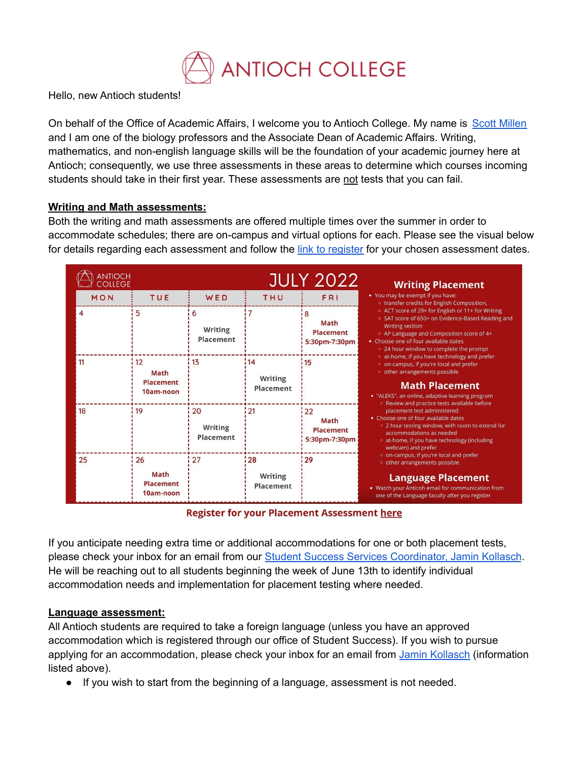

Hello, new Antioch students!

On behalf of the Office of Academic Affairs, I welcome you to Antioch College. My name is Scott [Millen](https://antiochcollege.edu/team-members/scott-millen/) and I am one of the biology professors and the Associate Dean of Academic Affairs. Writing, mathematics, and non-english language skills will be the foundation of your academic journey here at Antioch; consequently, we use three assessments in these areas to determine which courses incoming students should take in their first year. These assessments are not tests that you can fail.

## **Writing and Math assessments:**

Both the writing and math assessments are offered multiple times over the summer in order to accommodate schedules; there are on-campus and virtual options for each. Please see the visual below for details regarding each assessment and follow the link to [register](https://forms.gle/kkUQ7oAJJ2bqNXcz7) for your chosen assessment dates.

| ANTIOCH<br>COLLEGE<br><b>JULY 2022</b> |                                                    |                                   |                              | <b>Writing Placement</b>                                |                                                                                                                                                                                                                                                                                                                                                                                                                                                                                                                                                                                                                                                                                                                                                                                                                                                                                                                                                                                                                                                                     |
|----------------------------------------|----------------------------------------------------|-----------------------------------|------------------------------|---------------------------------------------------------|---------------------------------------------------------------------------------------------------------------------------------------------------------------------------------------------------------------------------------------------------------------------------------------------------------------------------------------------------------------------------------------------------------------------------------------------------------------------------------------------------------------------------------------------------------------------------------------------------------------------------------------------------------------------------------------------------------------------------------------------------------------------------------------------------------------------------------------------------------------------------------------------------------------------------------------------------------------------------------------------------------------------------------------------------------------------|
| MON                                    | <b>TUE</b>                                         | WED                               | THU                          | <b>FRI</b>                                              | • You may be exempt if you have:<br>o transfer credits for English Composition,<br>○ ACT score of 29+ for English or 11+ for Writing<br>○ SAT score of 650+ on Evidence-Based Reading and<br><b>Writing section</b><br>• AP Language and Composition score of 4+<br>• Choose one of four available dates<br>○ 24 hour window to complete the prompt<br>o at-home, if you have technology and prefer<br>o on-campus, if you're local and prefer<br>o other arrangements possible<br><b>Math Placement</b><br>• "ALEKS", an online, adaptive learning program<br><sup>o</sup> Review and practice tests available before<br>placement test administered<br>• Choose one of four available dates<br>○ 2 hour testing window, with room to extend for<br>accommodations as needed<br>o at-home, if you have technology (including<br>webcam) and prefer<br>o on-campus, if you're local and prefer<br>o other arrangements possible<br><b>Language Placement</b><br>• Watch your Anticoh email for communication from<br>one of the Language faculty after you register |
| 4                                      | 5                                                  | 6<br>Writing<br>Placement         |                              | 8<br><b>Math</b><br><b>Placement</b><br>5:30pm-7:30pm   |                                                                                                                                                                                                                                                                                                                                                                                                                                                                                                                                                                                                                                                                                                                                                                                                                                                                                                                                                                                                                                                                     |
| 11                                     | 12<br><b>Math</b><br><b>Placement</b><br>10am-noon | 113                               | 14<br>Writing<br>Placement   | 15                                                      |                                                                                                                                                                                                                                                                                                                                                                                                                                                                                                                                                                                                                                                                                                                                                                                                                                                                                                                                                                                                                                                                     |
| 18                                     | 19                                                 | 20<br><b>Writing</b><br>Placement | !21                          | 122<br><b>Math</b><br><b>Placement</b><br>5:30pm-7:30pm |                                                                                                                                                                                                                                                                                                                                                                                                                                                                                                                                                                                                                                                                                                                                                                                                                                                                                                                                                                                                                                                                     |
| 25                                     | 26<br><b>Math</b><br><b>Placement</b><br>10am-noon | 27                                | : 28<br>Writing<br>Placement | 129                                                     |                                                                                                                                                                                                                                                                                                                                                                                                                                                                                                                                                                                                                                                                                                                                                                                                                                                                                                                                                                                                                                                                     |

**Register for your Placement Assessment here** 

If you anticipate needing extra time or additional accommodations for one or both placement tests, please check your inbox for an email from our Student Success Services [Coordinator,](https://antiochcollege.edu/team-members/jamin-kollasch/) Jamin Kollasch. He will be reaching out to all students beginning the week of June 13th to identify individual accommodation needs and implementation for placement testing where needed.

## **Language assessment:**

All Antioch students are required to take a foreign language (unless you have an approved accommodation which is registered through our office of Student Success). If you wish to pursue applying for an accommodation, please check your inbox for an email from Jamin [Kollasch](https://antiochcollege.edu/team-members/jamin-kollasch/) (information listed above).

● If you wish to start from the beginning of a language, assessment is not needed.